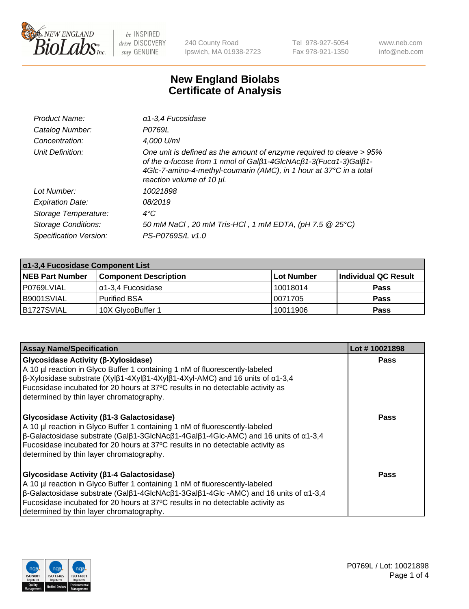

240 County Road Ipswich, MA 01938-2723 Tel 978-927-5054 Fax 978-921-1350 www.neb.com info@neb.com

## **New England Biolabs Certificate of Analysis**

| Product Name:              | $\alpha$ 1-3,4 Fucosidase                                                                                                                                                                                                                  |
|----------------------------|--------------------------------------------------------------------------------------------------------------------------------------------------------------------------------------------------------------------------------------------|
| Catalog Number:            | P0769L                                                                                                                                                                                                                                     |
| Concentration:             | 4,000 U/ml                                                                                                                                                                                                                                 |
| Unit Definition:           | One unit is defined as the amount of enzyme required to cleave > 95%<br>of the α-fucose from 1 nmol of Galβ1-4GlcNAcβ1-3(Fucα1-3)Galβ1-<br>4Glc-7-amino-4-methyl-coumarin (AMC), in 1 hour at 37°C in a total<br>reaction volume of 10 µl. |
| Lot Number:                | 10021898                                                                                                                                                                                                                                   |
| <b>Expiration Date:</b>    | 08/2019                                                                                                                                                                                                                                    |
| Storage Temperature:       | $4^{\circ}$ C                                                                                                                                                                                                                              |
| <b>Storage Conditions:</b> | 50 mM NaCl, 20 mM Tris-HCl, 1 mM EDTA, (pH 7.5 @ 25°C)                                                                                                                                                                                     |
| Specification Version:     | PS-P0769S/L v1.0                                                                                                                                                                                                                           |

| $\alpha$ 1-3,4 Fucosidase Component List |                              |            |                      |  |
|------------------------------------------|------------------------------|------------|----------------------|--|
| <b>NEB Part Number</b>                   | <b>Component Description</b> | Lot Number | Individual QC Result |  |
| P0769LVIAL                               | α1-3,4 Fucosidase            | 10018014   | <b>Pass</b>          |  |
| B9001SVIAL                               | Purified BSA                 | 10071705   | <b>Pass</b>          |  |
| B1727SVIAL                               | 10X GlycoBuffer 1            | 10011906   | <b>Pass</b>          |  |

| <b>Assay Name/Specification</b>                                                                                                                                                                                                                                                                                                                            | Lot #10021898 |
|------------------------------------------------------------------------------------------------------------------------------------------------------------------------------------------------------------------------------------------------------------------------------------------------------------------------------------------------------------|---------------|
| <b>Glycosidase Activity (β-Xylosidase)</b><br>A 10 µl reaction in Glyco Buffer 1 containing 1 nM of fluorescently-labeled<br>β-Xylosidase substrate (Xylβ1-4Xylβ1-4Xylβ1-4Xyl-AMC) and 16 units of α1-3,4<br>Fucosidase incubated for 20 hours at 37°C results in no detectable activity as<br>determined by thin layer chromatography.                    | <b>Pass</b>   |
| <b>Glycosidase Activity (β1-3 Galactosidase)</b><br>A 10 µl reaction in Glyco Buffer 1 containing 1 nM of fluorescently-labeled<br>$\beta$ -Galactosidase substrate (Galβ1-3GlcNAcβ1-4Galβ1-4Glc-AMC) and 16 units of α1-3,4<br>Fucosidase incubated for 20 hours at 37°C results in no detectable activity as<br>determined by thin layer chromatography. | <b>Pass</b>   |
| Glycosidase Activity (β1-4 Galactosidase)<br>A 10 µl reaction in Glyco Buffer 1 containing 1 nM of fluorescently-labeled<br>$\beta$ -Galactosidase substrate (Galβ1-4GlcNAcβ1-3Galβ1-4Glc -AMC) and 16 units of α1-3,4<br>Fucosidase incubated for 20 hours at 37°C results in no detectable activity as<br>determined by thin layer chromatography.       | Pass          |

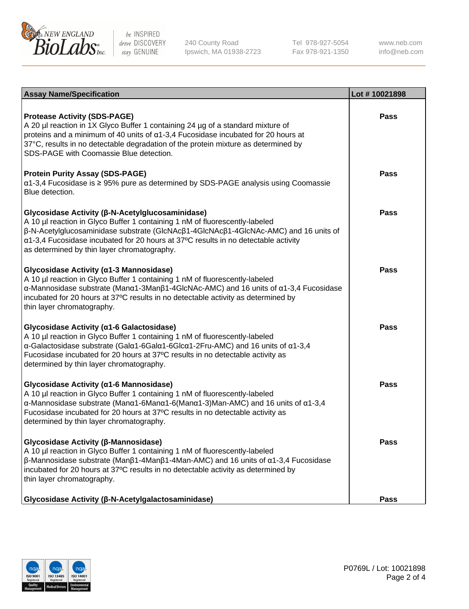

240 County Road Ipswich, MA 01938-2723 Tel 978-927-5054 Fax 978-921-1350

www.neb.com info@neb.com

| <b>Assay Name/Specification</b>                                                                                                                                                                                                                                                                                                                                                    | Lot #10021898 |
|------------------------------------------------------------------------------------------------------------------------------------------------------------------------------------------------------------------------------------------------------------------------------------------------------------------------------------------------------------------------------------|---------------|
| <b>Protease Activity (SDS-PAGE)</b><br>A 20 µl reaction in 1X Glyco Buffer 1 containing 24 µg of a standard mixture of<br>proteins and a minimum of 40 units of $\alpha$ 1-3,4 Fucosidase incubated for 20 hours at<br>37°C, results in no detectable degradation of the protein mixture as determined by<br>SDS-PAGE with Coomassie Blue detection.                               | Pass          |
| <b>Protein Purity Assay (SDS-PAGE)</b><br>α1-3,4 Fucosidase is ≥ 95% pure as determined by SDS-PAGE analysis using Coomassie<br>Blue detection.                                                                                                                                                                                                                                    | Pass          |
| Glycosidase Activity (β-N-Acetylglucosaminidase)<br>A 10 µl reaction in Glyco Buffer 1 containing 1 nM of fluorescently-labeled<br>β-N-Acetylglucosaminidase substrate (GlcNAcβ1-4GlcNAcβ1-4GlcNAc-AMC) and 16 units of<br>α1-3,4 Fucosidase incubated for 20 hours at 37°C results in no detectable activity<br>as determined by thin layer chromatography.                       | Pass          |
| Glycosidase Activity (α1-3 Mannosidase)<br>A 10 µl reaction in Glyco Buffer 1 containing 1 nM of fluorescently-labeled<br>$\alpha$ -Mannosidase substrate (Man $\alpha$ 1-3Man $\beta$ 1-4GlcNAc-AMC) and 16 units of $\alpha$ 1-3,4 Fucosidase<br>incubated for 20 hours at 37°C results in no detectable activity as determined by<br>thin layer chromatography.                 | Pass          |
| Glycosidase Activity (α1-6 Galactosidase)<br>A 10 µl reaction in Glyco Buffer 1 containing 1 nM of fluorescently-labeled<br>α-Galactosidase substrate (Galα1-6Galα1-6Glcα1-2Fru-AMC) and 16 units of α1-3,4<br>Fucosidase incubated for 20 hours at 37°C results in no detectable activity as<br>determined by thin layer chromatography.                                          | Pass          |
| Glycosidase Activity (α1-6 Mannosidase)<br>A 10 µl reaction in Glyco Buffer 1 containing 1 nM of fluorescently-labeled<br>$\alpha$ -Mannosidase substrate (Man $\alpha$ 1-6Man $\alpha$ 1-6(Man $\alpha$ 1-3)Man-AMC) and 16 units of $\alpha$ 1-3,4<br>Fucosidase incubated for 20 hours at 37°C results in no detectable activity as<br>determined by thin layer chromatography. | Pass          |
| Glycosidase Activity (β-Mannosidase)<br>A 10 µl reaction in Glyco Buffer 1 containing 1 nM of fluorescently-labeled<br>$\beta$ -Mannosidase substrate (Μanβ1-4Μanβ1-4Μan-AMC) and 16 units of α1-3,4 Fucosidase<br>incubated for 20 hours at 37°C results in no detectable activity as determined by<br>thin layer chromatography.                                                 | Pass          |
| Glycosidase Activity (β-N-Acetylgalactosaminidase)                                                                                                                                                                                                                                                                                                                                 | <b>Pass</b>   |

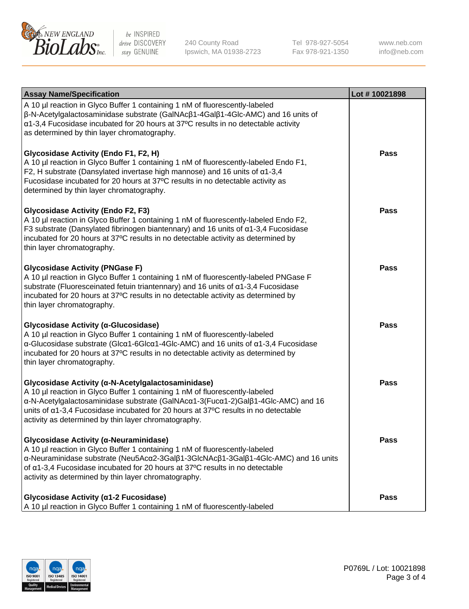

240 County Road Ipswich, MA 01938-2723 Tel 978-927-5054 Fax 978-921-1350 www.neb.com info@neb.com

| <b>Assay Name/Specification</b>                                                                                                                                                                                                                                                                                                                                     | Lot #10021898 |
|---------------------------------------------------------------------------------------------------------------------------------------------------------------------------------------------------------------------------------------------------------------------------------------------------------------------------------------------------------------------|---------------|
| A 10 µl reaction in Glyco Buffer 1 containing 1 nM of fluorescently-labeled<br>$\beta$ -N-Acetylgalactosaminidase substrate (GalNAc $\beta$ 1-4Gal $\beta$ 1-4Glc-AMC) and 16 units of<br>a1-3,4 Fucosidase incubated for 20 hours at 37°C results in no detectable activity<br>as determined by thin layer chromatography.                                         |               |
| Glycosidase Activity (Endo F1, F2, H)<br>A 10 µl reaction in Glyco Buffer 1 containing 1 nM of fluorescently-labeled Endo F1,<br>F2, H substrate (Dansylated invertase high mannose) and 16 units of $\alpha$ 1-3,4<br>Fucosidase incubated for 20 hours at 37°C results in no detectable activity as<br>determined by thin layer chromatography.                   | <b>Pass</b>   |
| <b>Glycosidase Activity (Endo F2, F3)</b><br>A 10 µl reaction in Glyco Buffer 1 containing 1 nM of fluorescently-labeled Endo F2,<br>F3 substrate (Dansylated fibrinogen biantennary) and 16 units of $\alpha$ 1-3,4 Fucosidase<br>incubated for 20 hours at 37°C results in no detectable activity as determined by<br>thin layer chromatography.                  | Pass          |
| <b>Glycosidase Activity (PNGase F)</b><br>A 10 µl reaction in Glyco Buffer 1 containing 1 nM of fluorescently-labeled PNGase F<br>substrate (Fluoresceinated fetuin triantennary) and 16 units of $\alpha$ 1-3,4 Fucosidase<br>incubated for 20 hours at 37°C results in no detectable activity as determined by<br>thin layer chromatography.                      | Pass          |
| Glycosidase Activity (α-Glucosidase)<br>A 10 µl reaction in Glyco Buffer 1 containing 1 nM of fluorescently-labeled<br>$\alpha$ -Glucosidase substrate (Glc $\alpha$ 1-6Glc $\alpha$ 1-4Glc-AMC) and 16 units of $\alpha$ 1-3,4 Fucosidase<br>incubated for 20 hours at 37°C results in no detectable activity as determined by<br>thin layer chromatography.       | <b>Pass</b>   |
| Glycosidase Activity (α-N-Acetylgalactosaminidase)<br>A 10 µl reaction in Glyco Buffer 1 containing 1 nM of fluorescently-labeled<br>α-N-Acetylgalactosaminidase substrate (GalNAcα1-3(Fucα1-2)Galβ1-4Glc-AMC) and 16<br>units of a1-3,4 Fucosidase incubated for 20 hours at 37°C results in no detectable<br>activity as determined by thin layer chromatography. | Pass          |
| Glycosidase Activity (α-Neuraminidase)<br>A 10 µl reaction in Glyco Buffer 1 containing 1 nM of fluorescently-labeled<br>α-Neuraminidase substrate (Neu5Acα2-3Galβ1-3GlcNAcβ1-3Galβ1-4Glc-AMC) and 16 units<br>of α1-3,4 Fucosidase incubated for 20 hours at 37°C results in no detectable<br>activity as determined by thin layer chromatography.                 | <b>Pass</b>   |
| Glycosidase Activity (α1-2 Fucosidase)<br>A 10 µl reaction in Glyco Buffer 1 containing 1 nM of fluorescently-labeled                                                                                                                                                                                                                                               | <b>Pass</b>   |